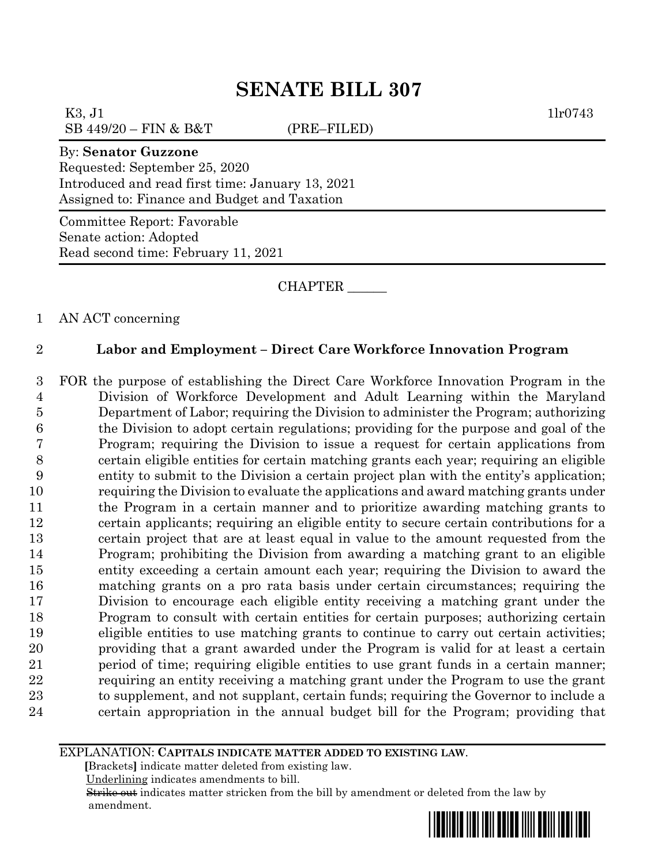# **SENATE BILL 307**

K3, J1  $1\text{lr}0743$ SB 449/20 – FIN & B&T (PRE–FILED)

#### By: **Senator Guzzone**

Requested: September 25, 2020 Introduced and read first time: January 13, 2021 Assigned to: Finance and Budget and Taxation

Committee Report: Favorable Senate action: Adopted Read second time: February 11, 2021

CHAPTER \_\_\_\_\_\_

1 AN ACT concerning

### 2 **Labor and Employment – Direct Care Workforce Innovation Program**

 FOR the purpose of establishing the Direct Care Workforce Innovation Program in the Division of Workforce Development and Adult Learning within the Maryland Department of Labor; requiring the Division to administer the Program; authorizing the Division to adopt certain regulations; providing for the purpose and goal of the Program; requiring the Division to issue a request for certain applications from certain eligible entities for certain matching grants each year; requiring an eligible entity to submit to the Division a certain project plan with the entity's application; requiring the Division to evaluate the applications and award matching grants under the Program in a certain manner and to prioritize awarding matching grants to certain applicants; requiring an eligible entity to secure certain contributions for a certain project that are at least equal in value to the amount requested from the Program; prohibiting the Division from awarding a matching grant to an eligible entity exceeding a certain amount each year; requiring the Division to award the matching grants on a pro rata basis under certain circumstances; requiring the Division to encourage each eligible entity receiving a matching grant under the Program to consult with certain entities for certain purposes; authorizing certain eligible entities to use matching grants to continue to carry out certain activities; providing that a grant awarded under the Program is valid for at least a certain period of time; requiring eligible entities to use grant funds in a certain manner; requiring an entity receiving a matching grant under the Program to use the grant to supplement, and not supplant, certain funds; requiring the Governor to include a certain appropriation in the annual budget bill for the Program; providing that

#### EXPLANATION: **CAPITALS INDICATE MATTER ADDED TO EXISTING LAW**.

 **[**Brackets**]** indicate matter deleted from existing law.

Underlining indicates amendments to bill.

 Strike out indicates matter stricken from the bill by amendment or deleted from the law by amendment.

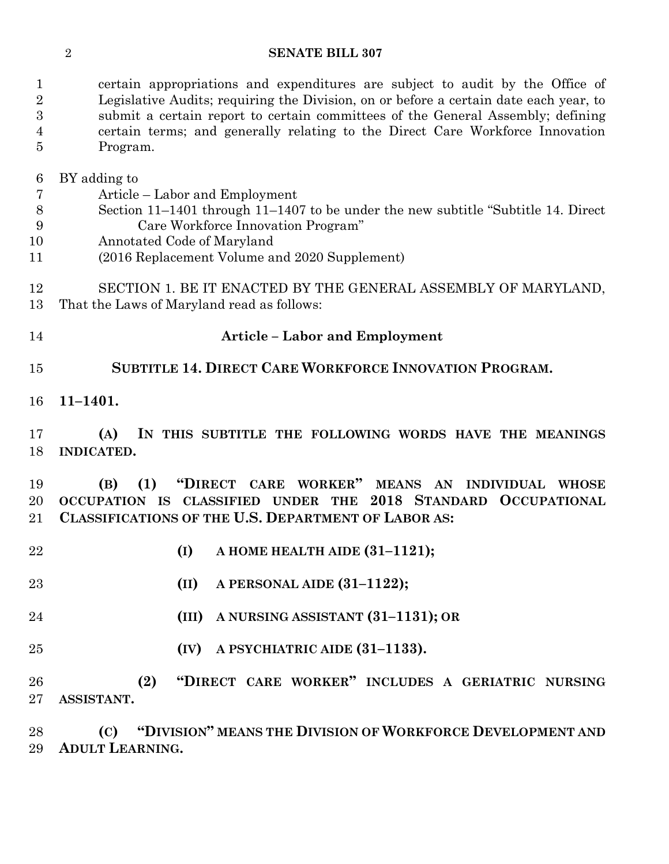#### **SENATE BILL 307**

 certain appropriations and expenditures are subject to audit by the Office of Legislative Audits; requiring the Division, on or before a certain date each year, to submit a certain report to certain committees of the General Assembly; defining certain terms; and generally relating to the Direct Care Workforce Innovation Program.

BY adding to

- Article Labor and Employment
- Section 11–1401 through 11–1407 to be under the new subtitle "Subtitle 14. Direct Care Workforce Innovation Program"
- Annotated Code of Maryland
- (2016 Replacement Volume and 2020 Supplement)
- SECTION 1. BE IT ENACTED BY THE GENERAL ASSEMBLY OF MARYLAND, That the Laws of Maryland read as follows:
- 

## **Article – Labor and Employment**

- **SUBTITLE 14. DIRECT CARE WORKFORCE INNOVATION PROGRAM.**
- **11–1401.**

 **(A) IN THIS SUBTITLE THE FOLLOWING WORDS HAVE THE MEANINGS INDICATED.**

 **(B) (1) "DIRECT CARE WORKER" MEANS AN INDIVIDUAL WHOSE OCCUPATION IS CLASSIFIED UNDER THE 2018 STANDARD OCCUPATIONAL CLASSIFICATIONS OF THE U.S. DEPARTMENT OF LABOR AS:**

- **(I) A HOME HEALTH AIDE (31–1121);**
- **(II) A PERSONAL AIDE (31–1122);**
- **(III) A NURSING ASSISTANT (31–1131); OR**
- **(IV) A PSYCHIATRIC AIDE (31–1133).**
- **(2) "DIRECT CARE WORKER" INCLUDES A GERIATRIC NURSING ASSISTANT.**

 **(C) "DIVISION" MEANS THE DIVISION OF WORKFORCE DEVELOPMENT AND ADULT LEARNING.**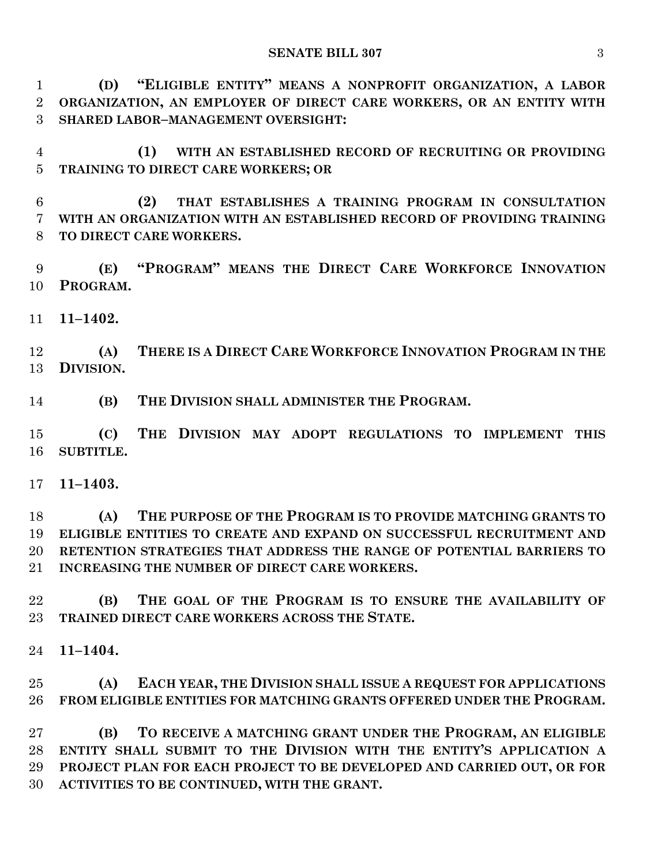**(D) "ELIGIBLE ENTITY" MEANS A NONPROFIT ORGANIZATION, A LABOR ORGANIZATION, AN EMPLOYER OF DIRECT CARE WORKERS, OR AN ENTITY WITH SHARED LABOR–MANAGEMENT OVERSIGHT:**

 **(1) WITH AN ESTABLISHED RECORD OF RECRUITING OR PROVIDING TRAINING TO DIRECT CARE WORKERS; OR**

 **(2) THAT ESTABLISHES A TRAINING PROGRAM IN CONSULTATION WITH AN ORGANIZATION WITH AN ESTABLISHED RECORD OF PROVIDING TRAINING TO DIRECT CARE WORKERS.**

 **(E) "PROGRAM" MEANS THE DIRECT CARE WORKFORCE INNOVATION PROGRAM.**

**11–1402.**

 **(A) THERE IS A DIRECT CARE WORKFORCE INNOVATION PROGRAM IN THE DIVISION.**

**(B) THE DIVISION SHALL ADMINISTER THE PROGRAM.**

 **(C) THE DIVISION MAY ADOPT REGULATIONS TO IMPLEMENT THIS SUBTITLE.**

**11–1403.**

 **(A) THE PURPOSE OF THE PROGRAM IS TO PROVIDE MATCHING GRANTS TO ELIGIBLE ENTITIES TO CREATE AND EXPAND ON SUCCESSFUL RECRUITMENT AND RETENTION STRATEGIES THAT ADDRESS THE RANGE OF POTENTIAL BARRIERS TO INCREASING THE NUMBER OF DIRECT CARE WORKERS.**

 **(B) THE GOAL OF THE PROGRAM IS TO ENSURE THE AVAILABILITY OF TRAINED DIRECT CARE WORKERS ACROSS THE STATE.**

**11–1404.**

 **(A) EACH YEAR, THE DIVISION SHALL ISSUE A REQUEST FOR APPLICATIONS FROM ELIGIBLE ENTITIES FOR MATCHING GRANTS OFFERED UNDER THE PROGRAM.**

 **(B) TO RECEIVE A MATCHING GRANT UNDER THE PROGRAM, AN ELIGIBLE ENTITY SHALL SUBMIT TO THE DIVISION WITH THE ENTITY'S APPLICATION A PROJECT PLAN FOR EACH PROJECT TO BE DEVELOPED AND CARRIED OUT, OR FOR ACTIVITIES TO BE CONTINUED, WITH THE GRANT.**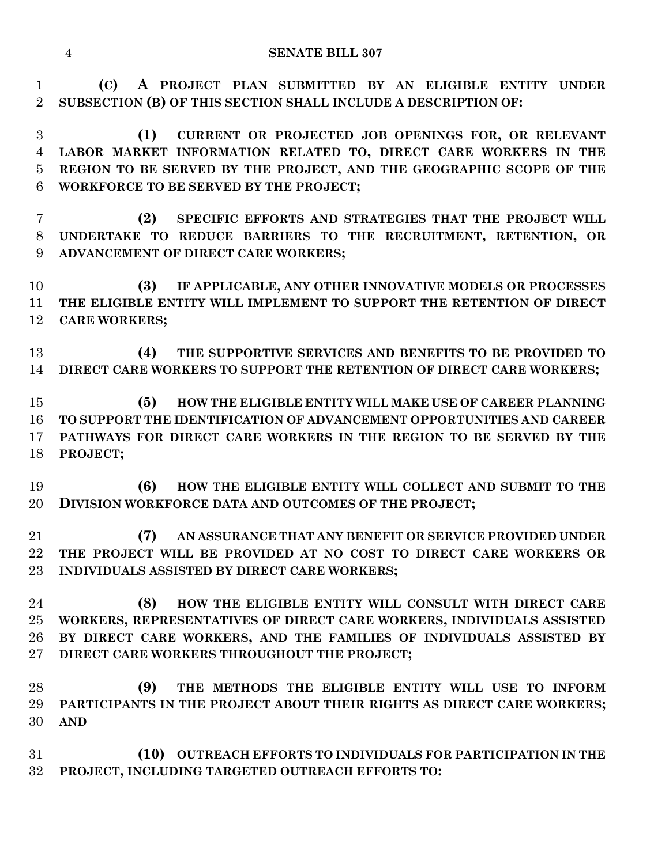**(C) A PROJECT PLAN SUBMITTED BY AN ELIGIBLE ENTITY UNDER SUBSECTION (B) OF THIS SECTION SHALL INCLUDE A DESCRIPTION OF:**

 **(1) CURRENT OR PROJECTED JOB OPENINGS FOR, OR RELEVANT LABOR MARKET INFORMATION RELATED TO, DIRECT CARE WORKERS IN THE REGION TO BE SERVED BY THE PROJECT, AND THE GEOGRAPHIC SCOPE OF THE WORKFORCE TO BE SERVED BY THE PROJECT;**

 **(2) SPECIFIC EFFORTS AND STRATEGIES THAT THE PROJECT WILL UNDERTAKE TO REDUCE BARRIERS TO THE RECRUITMENT, RETENTION, OR ADVANCEMENT OF DIRECT CARE WORKERS;**

 **(3) IF APPLICABLE, ANY OTHER INNOVATIVE MODELS OR PROCESSES THE ELIGIBLE ENTITY WILL IMPLEMENT TO SUPPORT THE RETENTION OF DIRECT CARE WORKERS;**

 **(4) THE SUPPORTIVE SERVICES AND BENEFITS TO BE PROVIDED TO DIRECT CARE WORKERS TO SUPPORT THE RETENTION OF DIRECT CARE WORKERS;**

 **(5) HOW THE ELIGIBLE ENTITY WILL MAKE USE OF CAREER PLANNING TO SUPPORT THE IDENTIFICATION OF ADVANCEMENT OPPORTUNITIES AND CAREER PATHWAYS FOR DIRECT CARE WORKERS IN THE REGION TO BE SERVED BY THE PROJECT;**

 **(6) HOW THE ELIGIBLE ENTITY WILL COLLECT AND SUBMIT TO THE DIVISION WORKFORCE DATA AND OUTCOMES OF THE PROJECT;**

 **(7) AN ASSURANCE THAT ANY BENEFIT OR SERVICE PROVIDED UNDER THE PROJECT WILL BE PROVIDED AT NO COST TO DIRECT CARE WORKERS OR INDIVIDUALS ASSISTED BY DIRECT CARE WORKERS;**

 **(8) HOW THE ELIGIBLE ENTITY WILL CONSULT WITH DIRECT CARE WORKERS, REPRESENTATIVES OF DIRECT CARE WORKERS, INDIVIDUALS ASSISTED BY DIRECT CARE WORKERS, AND THE FAMILIES OF INDIVIDUALS ASSISTED BY DIRECT CARE WORKERS THROUGHOUT THE PROJECT;**

 **(9) THE METHODS THE ELIGIBLE ENTITY WILL USE TO INFORM PARTICIPANTS IN THE PROJECT ABOUT THEIR RIGHTS AS DIRECT CARE WORKERS; AND**

 **(10) OUTREACH EFFORTS TO INDIVIDUALS FOR PARTICIPATION IN THE PROJECT, INCLUDING TARGETED OUTREACH EFFORTS TO:**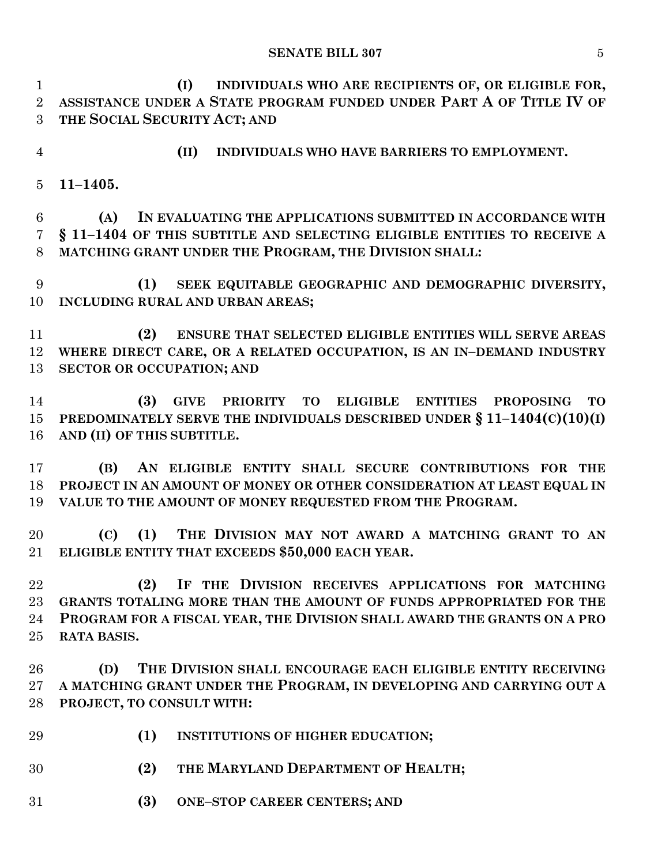#### **SENATE BILL 307** 5

 **(I) INDIVIDUALS WHO ARE RECIPIENTS OF, OR ELIGIBLE FOR, ASSISTANCE UNDER A STATE PROGRAM FUNDED UNDER PART A OF TITLE IV OF THE SOCIAL SECURITY ACT; AND**

- 
- **(II) INDIVIDUALS WHO HAVE BARRIERS TO EMPLOYMENT.**
- **11–1405.**

 **(A) IN EVALUATING THE APPLICATIONS SUBMITTED IN ACCORDANCE WITH § 11–1404 OF THIS SUBTITLE AND SELECTING ELIGIBLE ENTITIES TO RECEIVE A MATCHING GRANT UNDER THE PROGRAM, THE DIVISION SHALL:**

 **(1) SEEK EQUITABLE GEOGRAPHIC AND DEMOGRAPHIC DIVERSITY, INCLUDING RURAL AND URBAN AREAS;**

 **(2) ENSURE THAT SELECTED ELIGIBLE ENTITIES WILL SERVE AREAS WHERE DIRECT CARE, OR A RELATED OCCUPATION, IS AN IN–DEMAND INDUSTRY SECTOR OR OCCUPATION; AND**

 **(3) GIVE PRIORITY TO ELIGIBLE ENTITIES PROPOSING TO PREDOMINATELY SERVE THE INDIVIDUALS DESCRIBED UNDER § 11–1404(C)(10)(I) AND (II) OF THIS SUBTITLE.**

 **(B) AN ELIGIBLE ENTITY SHALL SECURE CONTRIBUTIONS FOR THE PROJECT IN AN AMOUNT OF MONEY OR OTHER CONSIDERATION AT LEAST EQUAL IN VALUE TO THE AMOUNT OF MONEY REQUESTED FROM THE PROGRAM.**

 **(C) (1) THE DIVISION MAY NOT AWARD A MATCHING GRANT TO AN ELIGIBLE ENTITY THAT EXCEEDS \$50,000 EACH YEAR.**

 **(2) IF THE DIVISION RECEIVES APPLICATIONS FOR MATCHING GRANTS TOTALING MORE THAN THE AMOUNT OF FUNDS APPROPRIATED FOR THE PROGRAM FOR A FISCAL YEAR, THE DIVISION SHALL AWARD THE GRANTS ON A PRO RATA BASIS.**

 **(D) THE DIVISION SHALL ENCOURAGE EACH ELIGIBLE ENTITY RECEIVING A MATCHING GRANT UNDER THE PROGRAM, IN DEVELOPING AND CARRYING OUT A PROJECT, TO CONSULT WITH:**

- **(1) INSTITUTIONS OF HIGHER EDUCATION;**
- **(2) THE MARYLAND DEPARTMENT OF HEALTH;**
- **(3) ONE–STOP CAREER CENTERS; AND**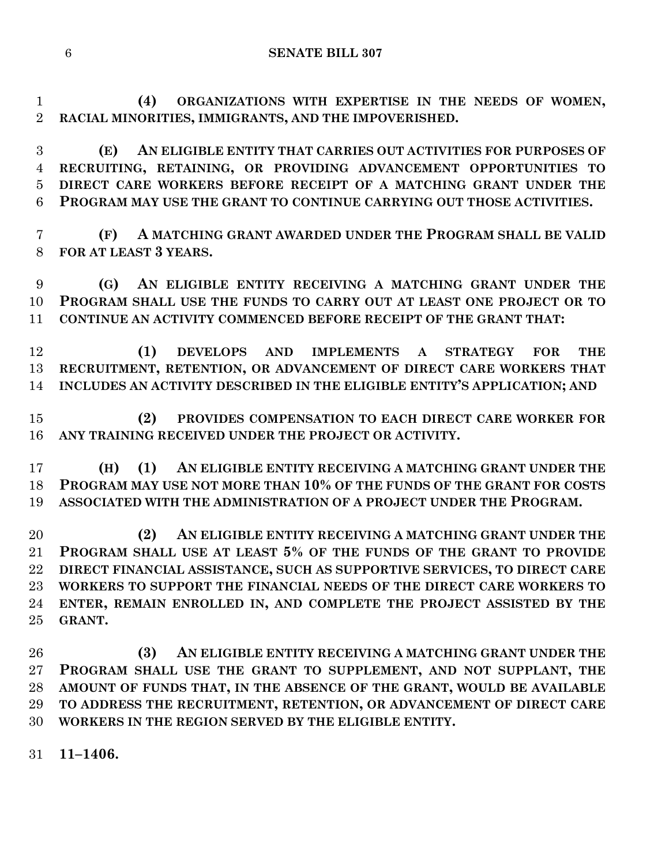**SENATE BILL 307**

 **(4) ORGANIZATIONS WITH EXPERTISE IN THE NEEDS OF WOMEN, RACIAL MINORITIES, IMMIGRANTS, AND THE IMPOVERISHED.**

 **(E) AN ELIGIBLE ENTITY THAT CARRIES OUT ACTIVITIES FOR PURPOSES OF RECRUITING, RETAINING, OR PROVIDING ADVANCEMENT OPPORTUNITIES TO DIRECT CARE WORKERS BEFORE RECEIPT OF A MATCHING GRANT UNDER THE PROGRAM MAY USE THE GRANT TO CONTINUE CARRYING OUT THOSE ACTIVITIES.**

 **(F) A MATCHING GRANT AWARDED UNDER THE PROGRAM SHALL BE VALID FOR AT LEAST 3 YEARS.**

 **(G) AN ELIGIBLE ENTITY RECEIVING A MATCHING GRANT UNDER THE PROGRAM SHALL USE THE FUNDS TO CARRY OUT AT LEAST ONE PROJECT OR TO CONTINUE AN ACTIVITY COMMENCED BEFORE RECEIPT OF THE GRANT THAT:**

 **(1) DEVELOPS AND IMPLEMENTS A STRATEGY FOR THE RECRUITMENT, RETENTION, OR ADVANCEMENT OF DIRECT CARE WORKERS THAT INCLUDES AN ACTIVITY DESCRIBED IN THE ELIGIBLE ENTITY'S APPLICATION; AND**

 **(2) PROVIDES COMPENSATION TO EACH DIRECT CARE WORKER FOR ANY TRAINING RECEIVED UNDER THE PROJECT OR ACTIVITY.**

 **(H) (1) AN ELIGIBLE ENTITY RECEIVING A MATCHING GRANT UNDER THE PROGRAM MAY USE NOT MORE THAN 10% OF THE FUNDS OF THE GRANT FOR COSTS ASSOCIATED WITH THE ADMINISTRATION OF A PROJECT UNDER THE PROGRAM.**

 **(2) AN ELIGIBLE ENTITY RECEIVING A MATCHING GRANT UNDER THE PROGRAM SHALL USE AT LEAST 5% OF THE FUNDS OF THE GRANT TO PROVIDE DIRECT FINANCIAL ASSISTANCE, SUCH AS SUPPORTIVE SERVICES, TO DIRECT CARE WORKERS TO SUPPORT THE FINANCIAL NEEDS OF THE DIRECT CARE WORKERS TO ENTER, REMAIN ENROLLED IN, AND COMPLETE THE PROJECT ASSISTED BY THE GRANT.**

 **(3) AN ELIGIBLE ENTITY RECEIVING A MATCHING GRANT UNDER THE PROGRAM SHALL USE THE GRANT TO SUPPLEMENT, AND NOT SUPPLANT, THE AMOUNT OF FUNDS THAT, IN THE ABSENCE OF THE GRANT, WOULD BE AVAILABLE TO ADDRESS THE RECRUITMENT, RETENTION, OR ADVANCEMENT OF DIRECT CARE WORKERS IN THE REGION SERVED BY THE ELIGIBLE ENTITY.**

**11–1406.**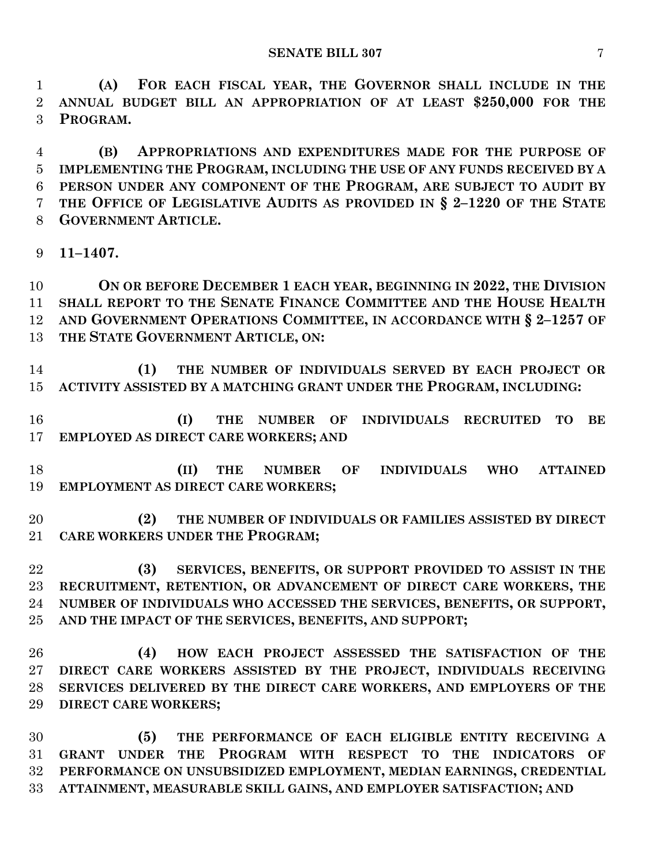**(A) FOR EACH FISCAL YEAR, THE GOVERNOR SHALL INCLUDE IN THE ANNUAL BUDGET BILL AN APPROPRIATION OF AT LEAST \$250,000 FOR THE PROGRAM.**

 **(B) APPROPRIATIONS AND EXPENDITURES MADE FOR THE PURPOSE OF IMPLEMENTING THE PROGRAM, INCLUDING THE USE OF ANY FUNDS RECEIVED BY A PERSON UNDER ANY COMPONENT OF THE PROGRAM, ARE SUBJECT TO AUDIT BY THE OFFICE OF LEGISLATIVE AUDITS AS PROVIDED IN § 2–1220 OF THE STATE GOVERNMENT ARTICLE.**

**11–1407.**

 **ON OR BEFORE DECEMBER 1 EACH YEAR, BEGINNING IN 2022, THE DIVISION SHALL REPORT TO THE SENATE FINANCE COMMITTEE AND THE HOUSE HEALTH AND GOVERNMENT OPERATIONS COMMITTEE, IN ACCORDANCE WITH § 2–1257 OF THE STATE GOVERNMENT ARTICLE, ON:**

 **(1) THE NUMBER OF INDIVIDUALS SERVED BY EACH PROJECT OR ACTIVITY ASSISTED BY A MATCHING GRANT UNDER THE PROGRAM, INCLUDING:**

 **(I) THE NUMBER OF INDIVIDUALS RECRUITED TO BE EMPLOYED AS DIRECT CARE WORKERS; AND**

 **(II) THE NUMBER OF INDIVIDUALS WHO ATTAINED EMPLOYMENT AS DIRECT CARE WORKERS;**

 **(2) THE NUMBER OF INDIVIDUALS OR FAMILIES ASSISTED BY DIRECT CARE WORKERS UNDER THE PROGRAM;**

 **(3) SERVICES, BENEFITS, OR SUPPORT PROVIDED TO ASSIST IN THE RECRUITMENT, RETENTION, OR ADVANCEMENT OF DIRECT CARE WORKERS, THE NUMBER OF INDIVIDUALS WHO ACCESSED THE SERVICES, BENEFITS, OR SUPPORT, AND THE IMPACT OF THE SERVICES, BENEFITS, AND SUPPORT;**

 **(4) HOW EACH PROJECT ASSESSED THE SATISFACTION OF THE DIRECT CARE WORKERS ASSISTED BY THE PROJECT, INDIVIDUALS RECEIVING SERVICES DELIVERED BY THE DIRECT CARE WORKERS, AND EMPLOYERS OF THE DIRECT CARE WORKERS;**

 **(5) THE PERFORMANCE OF EACH ELIGIBLE ENTITY RECEIVING A GRANT UNDER THE PROGRAM WITH RESPECT TO THE INDICATORS OF PERFORMANCE ON UNSUBSIDIZED EMPLOYMENT, MEDIAN EARNINGS, CREDENTIAL ATTAINMENT, MEASURABLE SKILL GAINS, AND EMPLOYER SATISFACTION; AND**